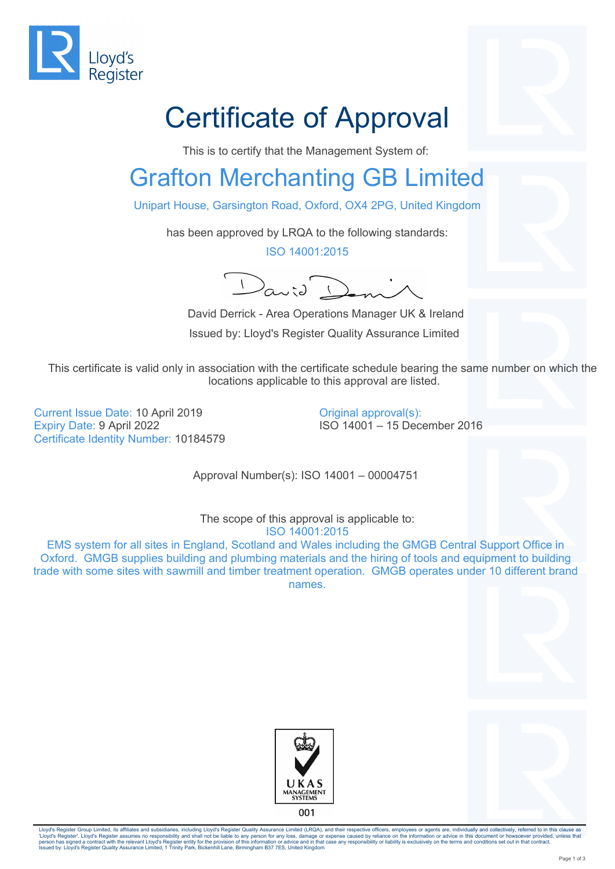

## Certificate of Approval

This is to certify that the Management System of:

## Grafton Merchanting GB Limited

Unipart House, Garsington Road, Oxford, OX4 2PG, United Kingdom

has been approved by LRQA to the following standards:

ISO 14001:2015

 $\int_{G_{\alpha}}$ 

 David Derrick - Area Operations Manager UK & Ireland Issued by: Lloyd's Register Quality Assurance Limited

This certificate is valid only in association with the certificate schedule bearing the same number on which the locations applicable to this approval are listed.

Current Issue Date: 10 April 2019 Expiry Date: 9 April 2022 Certificate Identity Number: 10184579 Original approval(s): ISO 14001 – 15 December 2016

Approval Number(s): ISO 14001 – 00004751

The scope of this approval is applicable to: ISO 14001:2015 EMS system for all sites in England, Scotland and Wales including the GMGB Central Support Office in Oxford. GMGB supplies building and plumbing materials and the hiring of tools and equipment to building trade with some sites with sawmill and timber treatment operation. GMGB operates under 10 different brand names.





Lloyd's Register Group Limited, its affiliates and subsidiaries, including Lloyd's Register Quality Assurance Limited (LRQA), and their respective officers, employees or agents are, individually and collectively, referred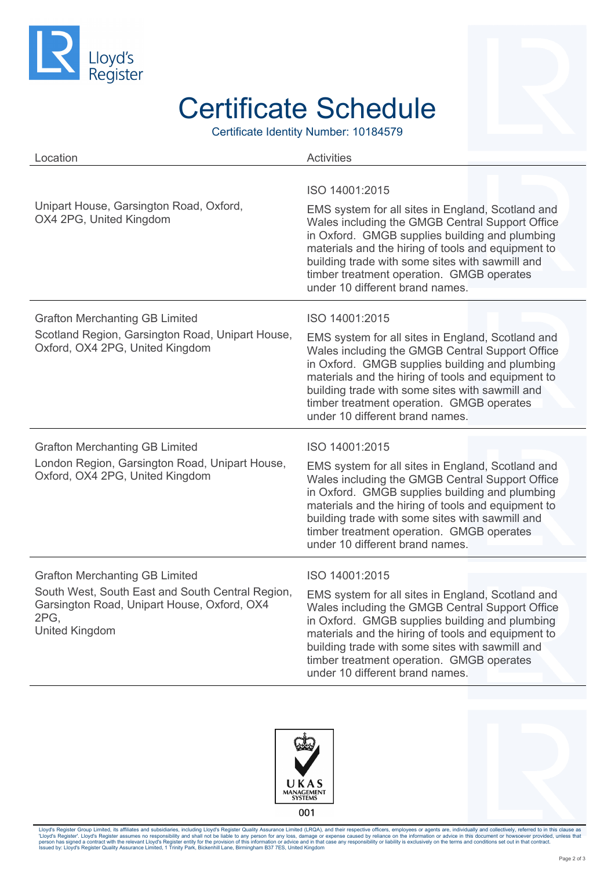

## Certificate Schedule

Certificate Identity Number: 10184579

| Location                                                                                                                                                                  | <b>Activities</b>                                                                                                                                                                                                                                                                                                                                                 |
|---------------------------------------------------------------------------------------------------------------------------------------------------------------------------|-------------------------------------------------------------------------------------------------------------------------------------------------------------------------------------------------------------------------------------------------------------------------------------------------------------------------------------------------------------------|
| Unipart House, Garsington Road, Oxford,<br>OX4 2PG, United Kingdom                                                                                                        | ISO 14001:2015<br>EMS system for all sites in England, Scotland and<br>Wales including the GMGB Central Support Office<br>in Oxford. GMGB supplies building and plumbing<br>materials and the hiring of tools and equipment to<br>building trade with some sites with sawmill and<br>timber treatment operation. GMGB operates<br>under 10 different brand names. |
| <b>Grafton Merchanting GB Limited</b><br>Scotland Region, Garsington Road, Unipart House,<br>Oxford, OX4 2PG, United Kingdom                                              | ISO 14001:2015<br>EMS system for all sites in England, Scotland and<br>Wales including the GMGB Central Support Office<br>in Oxford. GMGB supplies building and plumbing<br>materials and the hiring of tools and equipment to<br>building trade with some sites with sawmill and<br>timber treatment operation. GMGB operates<br>under 10 different brand names. |
| <b>Grafton Merchanting GB Limited</b><br>London Region, Garsington Road, Unipart House,<br>Oxford, OX4 2PG, United Kingdom                                                | ISO 14001:2015<br>EMS system for all sites in England, Scotland and<br>Wales including the GMGB Central Support Office<br>in Oxford. GMGB supplies building and plumbing<br>materials and the hiring of tools and equipment to<br>building trade with some sites with sawmill and<br>timber treatment operation. GMGB operates<br>under 10 different brand names. |
| <b>Grafton Merchanting GB Limited</b><br>South West, South East and South Central Region,<br>Garsington Road, Unipart House, Oxford, OX4<br>2PG,<br><b>United Kingdom</b> | ISO 14001:2015<br>EMS system for all sites in England, Scotland and<br>Wales including the GMGB Central Support Office<br>in Oxford. GMGB supplies building and plumbing<br>materials and the hiring of tools and equipment to<br>building trade with some sites with sawmill and<br>timber treatment operation. GMGB operates<br>under 10 different brand names. |





Lloyd's Register Group Limited, its affiliates and subsidiaries, including Lloyd's Register Quality Assurance Limited (LRQA), and their respective officers, employees or agents are, individually and collectively, referred